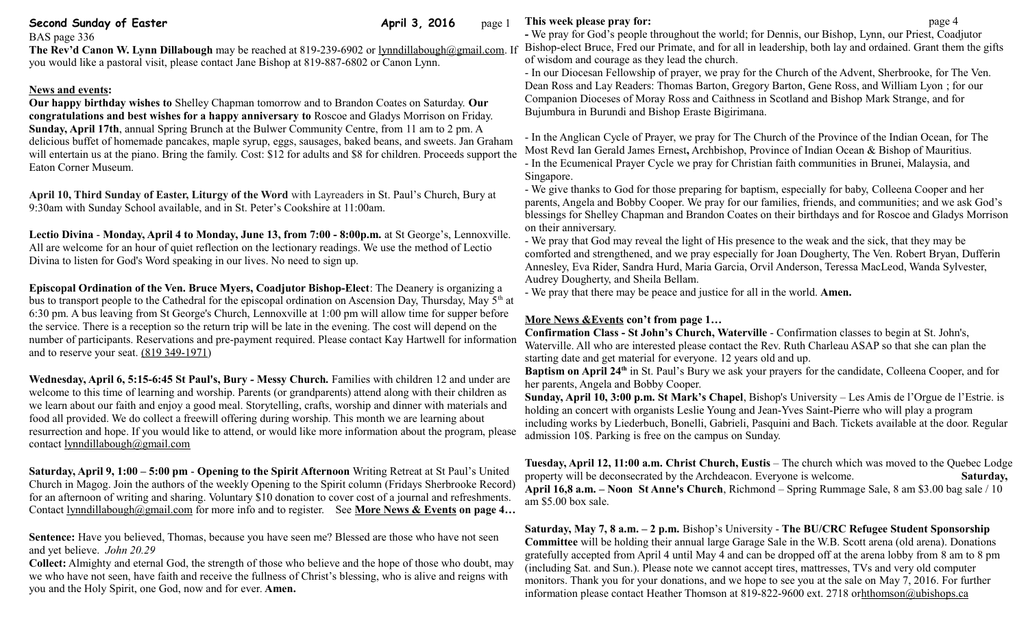## **Second Sunday of Easter April 3, 2016** page 1

BAS page 336

**The Rev'd Canon W. Lynn Dillabough** may be reached at 819-239-6902 or [lynndillabough@gmail.com.](mailto:lynndillabough@gmail.com) If you would like a pastoral visit, please contact Jane Bishop at 819-887-6802 or Canon Lynn.

## **News and events:**

**Our happy birthday wishes to** Shelley Chapman tomorrow and to Brandon Coates on Saturday. **Our congratulations and best wishes for a happy anniversary to** Roscoe and Gladys Morrison on Friday. **Sunday, April 17th**, annual Spring Brunch at the Bulwer Community Centre, from 11 am to 2 pm. A delicious buffet of homemade pancakes, maple syrup, eggs, sausages, baked beans, and sweets. Jan Graham will entertain us at the piano. Bring the family. Cost: \$12 for adults and \$8 for children. Proceeds support the Eaton Corner Museum.

**April 10, Third Sunday of Easter, Liturgy of the Word** with Layreaders in St. Paul's Church, Bury at 9:30am with Sunday School available, and in St. Peter's Cookshire at 11:00am.

**Lectio Divina** - **Monday, April 4 to Monday, June 13, from 7:00 - 8:00p.m.** at St George's, Lennoxville. All are welcome for an hour of quiet reflection on the lectionary readings. We use the method of Lectio Divina to listen for God's Word speaking in our lives. No need to sign up.

**Episcopal Ordination of the Ven. Bruce Myers, Coadjutor Bishop-Elect**: The Deanery is organizing a bus to transport people to the Cathedral for the episcopal ordination on Ascension Day, Thursday, May  $5<sup>th</sup>$  at 6:30 pm. A bus leaving from St George's Church, Lennoxville at 1:00 pm will allow time for supper before the service. There is a reception so the return trip will be late in the evening. The cost will depend on the number of participants. Reservations and pre-payment required. Please contact Kay Hartwell for information and to reserve your seat. [\(819 349-1971\)](tel:(819%20349-1971)

**Wednesday, April 6, 5:15-6:45 St Paul's, Bury** *-* **Messy Church***.* Families with children 12 and under are welcome to this time of learning and worship. Parents (or grandparents) attend along with their children as we learn about our faith and enjoy a good meal. Storytelling, crafts, worship and dinner with materials and food all provided. We do collect a freewill offering during worship. This month we are learning about resurrection and hope. If you would like to attend, or would like more information about the program, please contact [lynndillabough@gmail.com](mailto:lynndillabough@gmail.com) 

**Saturday, April 9, 1:00 – 5:00 pm** - **Opening to the Spirit Afternoon** Writing Retreat at St Paul's United Church in Magog. Join the authors of the weekly Opening to the Spirit column (Fridays Sherbrooke Record) for an afternoon of writing and sharing. Voluntary \$10 donation to cover cost of a journal and refreshments. Contact [lynndillabough@gmail.com](https://webmail.ubishops.ca/owa/redir.aspx?SURL=0TDUtmhxNBR-zF--M-US9RkmIL7_pc2nQV-AGspegafVnrL4zk3TCG0AYQBpAGwAdABvADoAbAB5AG4AbgBkAGkAbABsAGEAYgBvAHUAZwBoAEAAZwBtAGEAaQBsAC4AYwBvAG0A&URL=mailto%3Alynndillabough@gmail.com) for more info and to register. See **More News & Events on page 4...** 

**Sentence:** Have you believed, Thomas, because you have seen me? Blessed are those who have not seen and yet believe. *John 20.29*

**Collect:** Almighty and eternal God, the strength of those who believe and the hope of those who doubt, may we who have not seen, have faith and receive the fullness of Christ's blessing, who is alive and reigns with you and the Holy Spirit, one God, now and for ever. **Amen.**

**This week please pray for: page 4** 

**-** We pray for God's people throughout the world; for Dennis, our Bishop, Lynn, our Priest, Coadjutor Bishop-elect Bruce, Fred our Primate, and for all in leadership, both lay and ordained. Grant them the gifts of wisdom and courage as they lead the church.

- In our Diocesan Fellowship of prayer, we pray for the Church of the Advent, Sherbrooke, for The Ven. Dean Ross and Lay Readers: Thomas Barton, Gregory Barton, Gene Ross, and William Lyon ; for our Companion Dioceses of Moray Ross and Caithness in Scotland and Bishop Mark Strange, and for Bujumbura in Burundi and Bishop Eraste Bigirimana.

- In the Anglican Cycle of Prayer, we pray for The Church of the Province of the Indian Ocean, for [The](http://www.anglicancommunion.org/structures/member-churches/member-church/diocese/position.aspx?church=indian-ocean&dio=mauritius&pos=archbishop,-province-of-indian-ocean-bishop-of-mauritius&posID=14547)  [Most Revd Ian Gerald James Ernest](http://www.anglicancommunion.org/structures/member-churches/member-church/diocese/position.aspx?church=indian-ocean&dio=mauritius&pos=archbishop,-province-of-indian-ocean-bishop-of-mauritius&posID=14547)**,** Archbishop, Province of Indian Ocean & Bishop of Mauritius. - In the Ecumenical Prayer Cycle we pray for Christian faith communities in Brunei, Malaysia, and Singapore.

- We give thanks to God for those preparing for baptism, especially for baby, Colleena Cooper and her parents, Angela and Bobby Cooper. We pray for our families, friends, and communities; and we ask God's blessings for Shelley Chapman and Brandon Coates on their birthdays and for Roscoe and Gladys Morrison on their anniversary.

- We pray that God may reveal the light of His presence to the weak and the sick, that they may be comforted and strengthened, and we pray especially for Joan Dougherty, The Ven. Robert Bryan, Dufferin Annesley, Eva Rider, Sandra Hurd, Maria Garcia, Orvil Anderson, Teressa MacLeod, Wanda Sylvester, Audrey Dougherty, and Sheila Bellam.

- We pray that there may be peace and justice for all in the world. **Amen.**

# **More News &Events con't from page 1…**

**Confirmation Class - St John's Church, Waterville** - Confirmation classes to begin at St. John's, Waterville. All who are interested please contact the Rev. Ruth Charleau ASAP so that she can plan the starting date and get material for everyone. 12 years old and up.

**Baptism on April 24<sup>th</sup>** in St. Paul's Bury we ask your prayers for the candidate, Colleena Cooper, and for her parents, Angela and Bobby Cooper.

**Sunday, April 10, 3:00 p.m. St Mark's Chapel**, Bishop's University – Les Amis de l'Orgue de l'Estrie. is holding an concert with organists Leslie Young and Jean-Yves Saint-Pierre who will play a program including works by Liederbuch, Bonelli, Gabrieli, Pasquini and Bach. Tickets available at the door. Regular admission 10\$. Parking is free on the campus on Sunday.

**Tuesday, April 12, 11:00 a.m. Christ Church, Eustis** – The church which was moved to the Quebec Lodge property will be deconsecrated by the Archdeacon. Everyone is welcome. **Saturday, April 16,8 a.m. – Noon St Anne's Church**, Richmond – Spring Rummage Sale, 8 am \$3.00 bag sale / 10 am \$5.00 box sale.

**Saturday, May 7, 8 a.m. – 2 p.m.** Bishop's University - **The BU/CRC Refugee Student Sponsorship Committee** will be holding their annual large Garage Sale in the W.B. Scott arena (old arena). Donations gratefully accepted from April 4 until May 4 and can be dropped off at the arena lobby from 8 am to 8 pm (including Sat. and Sun.). Please note we cannot accept tires, mattresses, TVs and very old computer monitors. Thank you for your donations, and we hope to see you at the sale on May 7, 2016. For further information please contact Heather Thomson at 819-822-9600 ext. 2718 o[rhthomson@ubishops.ca](https://webmail.ubishops.ca/owa/redir.aspx?REF=FLnmocQHos1aSS6_izloWzXz-vn948huD0NonW8iwmC1KgSOCljTCAFtYWlsdG86aHRob21zb25AdWJpc2hvcHMuY2E.)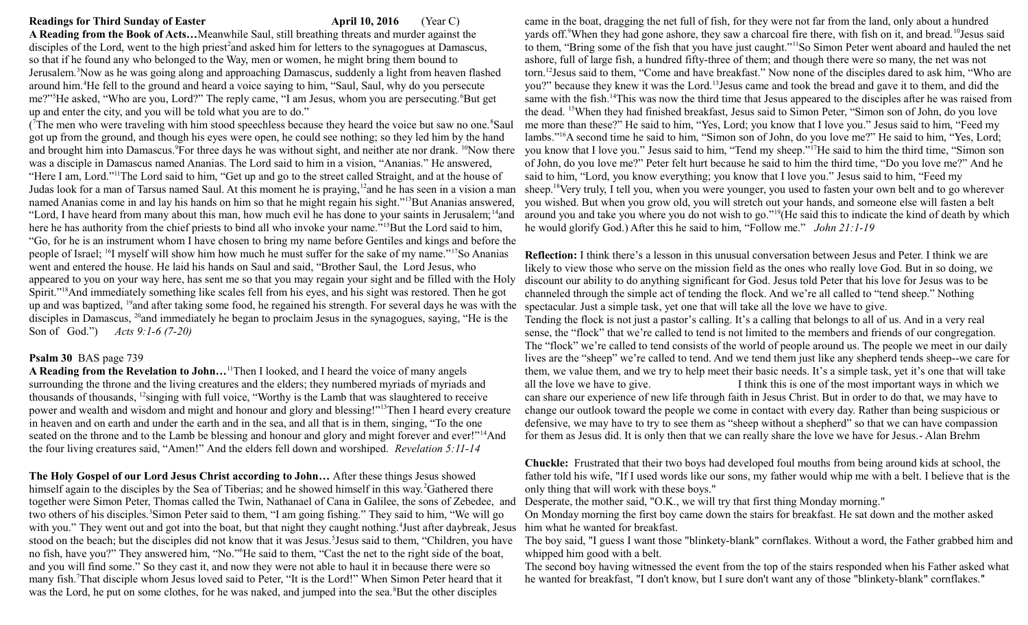## **Readings for Third Sunday of Easter April 10, 2016** (Year C)

**A Reading from the Book of Acts…**Meanwhile Saul, still breathing threats and murder against the disciples of the Lord, went to the high priest<sup>2</sup> and asked him for letters to the synagogues at Damascus, so that if he found any who belonged to the Way, men or women, he might bring them bound to Jerusalem.<sup>3</sup>Now as he was going along and approaching Damascus, suddenly a light from heaven flashed around him.<sup>4</sup>He fell to the ground and heard a voice saying to him, "Saul, Saul, why do you persecute me?"<sup>5</sup>He asked, "Who are you, Lord?" The reply came, "I am Jesus, whom you are persecuting.<sup>6</sup>But get up and enter the city, and you will be told what you are to do."

(The men who were traveling with him stood speechless because they heard the voice but saw no one.<sup>8</sup>Saul got up from the ground, and though his eyes were open, he could see nothing; so they led him by the hand and brought him into Damascus.<sup>9</sup>For three days he was without sight, and neither ate nor drank. <sup>10</sup>Now there was a disciple in Damascus named Ananias. The Lord said to him in a vision, "Ananias." He answered, "Here I am, Lord."<sup>11</sup>The Lord said to him, "Get up and go to the street called Straight, and at the house of Judas look for a man of Tarsus named Saul. At this moment he is praying,<sup>12</sup>and he has seen in a vision a man named Ananias come in and lay his hands on him so that he might regain his sight."<sup>13</sup>But Ananias answered, "Lord, I have heard from many about this man, how much evil he has done to your saints in Jerusalem; <sup>14</sup>and here he has authority from the chief priests to bind all who invoke your name."<sup>15</sup>But the Lord said to him, "Go, for he is an instrument whom I have chosen to bring my name before Gentiles and kings and before the people of Israel; <sup>16</sup>I myself will show him how much he must suffer for the sake of my name."<sup>17</sup>So Ananias went and entered the house. He laid his hands on Saul and said, "Brother Saul, the Lord Jesus, who appeared to you on your way here, has sent me so that you may regain your sight and be filled with the Holy Spirit."<sup>18</sup>And immediately something like scales fell from his eyes, and his sight was restored. Then he got up and was baptized, <sup>19</sup>and after taking some food, he regained his strength. For several days he was with the disciples in Damascus, <sup>20</sup>and immediately he began to proclaim Jesus in the synagogues, saying, "He is the Son of God.") *Acts 9:1-6 (7-20)* 

### **Psalm 30** BAS page 739

**A Reading from the Revelation to John…**<sup>11</sup>Then I looked, and I heard the voice of many angels surrounding the throne and the living creatures and the elders; they numbered myriads of myriads and thousands of thousands, <sup>12</sup>singing with full voice, "Worthy is the Lamb that was slaughtered to receive power and wealth and wisdom and might and honour and glory and blessing!"<sup>13</sup>Then I heard every creature in heaven and on earth and under the earth and in the sea, and all that is in them, singing, "To the one seated on the throne and to the Lamb be blessing and honour and glory and might forever and ever!"<sup>14</sup>And the four living creatures said, "Amen!" And the elders fell down and worshiped. *Revelation 5:11-14*

**The Holy Gospel of our Lord Jesus Christ according to John…** After these things Jesus showed himself again to the disciples by the Sea of Tiberias; and he showed himself in this way.<sup>2</sup>Gathered there together were Simon Peter, Thomas called the Twin, Nathanael of Cana in Galilee, the sons of Zebedee, and two others of his disciples.<sup>3</sup>Simon Peter said to them, "I am going fishing." They said to him, "We will go with you." They went out and got into the boat, but that night they caught nothing.<sup>4</sup>Just after daybreak, Jesus stood on the beach; but the disciples did not know that it was Jesus.<sup>5</sup> Jesus said to them, "Children, you have no fish, have you?" They answered him, "No."<sup>6</sup>He said to them, "Cast the net to the right side of the boat, and you will find some." So they cast it, and now they were not able to haul it in because there were so many fish.<sup>7</sup>That disciple whom Jesus loved said to Peter, "It is the Lord!" When Simon Peter heard that it was the Lord, he put on some clothes, for he was naked, and jumped into the sea.<sup>8</sup>But the other disciples

came in the boat, dragging the net full of fish, for they were not far from the land, only about a hundred yards off.<sup>9</sup>When they had gone ashore, they saw a charcoal fire there, with fish on it, and bread.<sup>10</sup>Jesus said to them, "Bring some of the fish that you have just caught."<sup>11</sup>So Simon Peter went aboard and hauled the net ashore, full of large fish, a hundred fifty-three of them; and though there were so many, the net was not torn.<sup>12</sup>Jesus said to them, "Come and have breakfast." Now none of the disciples dared to ask him, "Who are you?" because they knew it was the Lord.<sup>13</sup>Jesus came and took the bread and gave it to them, and did the same with the fish.<sup>14</sup>This was now the third time that Jesus appeared to the disciples after he was raised from the dead. <sup>15</sup>When they had finished breakfast, Jesus said to Simon Peter, "Simon son of John, do you love me more than these?" He said to him, "Yes, Lord; you know that I love you." Jesus said to him, "Feed my lambs."<sup>16</sup>A second time he said to him, "Simon son of John, do you love me?" He said to him, "Yes, Lord; you know that I love you." Jesus said to him, "Tend my sheep."<sup>17</sup>He said to him the third time, "Simon son of John, do you love me?" Peter felt hurt because he said to him the third time, "Do you love me?" And he said to him, "Lord, you know everything; you know that I love you." Jesus said to him, "Feed my sheep.<sup>18</sup>Very truly, I tell you, when you were younger, you used to fasten your own belt and to go wherever you wished. But when you grow old, you will stretch out your hands, and someone else will fasten a belt around you and take you where you do not wish to go."<sup>19</sup>(He said this to indicate the kind of death by which he would glorify God.) After this he said to him, "Follow me." *John 21:1-19*

**Reflection:** I think there's a lesson in this unusual conversation between Jesus and Peter. I think we are likely to view those who serve on the mission field as the ones who really love God. But in so doing, we discount our ability to do anything significant for God. Jesus told Peter that his love for Jesus was to be channeled through the simple act of tending the flock. And we're all called to "tend sheep." Nothing spectacular. Just a simple task, yet one that will take all the love we have to give. Tending the flock is not just a pastor's calling. It's a calling that belongs to all of us. And in a very real sense, the "flock" that we're called to tend is not limited to the members and friends of our congregation. The "flock" we're called to tend consists of the world of people around us. The people we meet in our daily lives are the "sheep" we're called to tend. And we tend them just like any shepherd tends sheep--we care for them, we value them, and we try to help meet their basic needs. It's a simple task, yet it's one that will take all the love we have to give. I think this is one of the most important ways in which we can share our experience of new life through faith in Jesus Christ. But in order to do that, we may have to change our outlook toward the people we come in contact with every day. Rather than being suspicious or defensive, we may have to try to see them as "sheep without a shepherd" so that we can have compassion for them as Jesus did. It is only then that we can really share the love we have for Jesus.- Alan Brehm

**Chuckle:** Frustrated that their two boys had developed foul mouths from being around kids at school, the father told his wife, "If I used words like our sons, my father would whip me with a belt. I believe that is the only thing that will work with these boys."

Desperate, the mother said, "O.K., we will try that first thing Monday morning."

On Monday morning the first boy came down the stairs for breakfast. He sat down and the mother asked him what he wanted for breakfast.

The boy said, "I guess I want those "blinkety-blank" cornflakes. Without a word, the Father grabbed him and whipped him good with a belt.

The second boy having witnessed the event from the top of the stairs responded when his Father asked what he wanted for breakfast, "I don't know, but I sure don't want any of those "blinkety-blank" cornflakes."